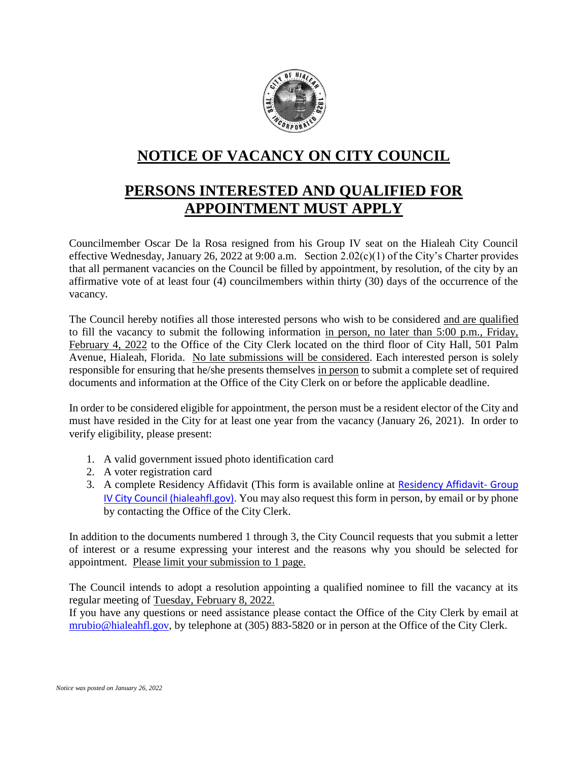

## **NOTICE OF VACANCY ON CITY COUNCIL**

# **PERSONS INTERESTED AND QUALIFIED FOR APPOINTMENT MUST APPLY**

Councilmember Oscar De la Rosa resigned from his Group IV seat on the Hialeah City Council effective Wednesday, January 26, 2022 at 9:00 a.m. Section 2.02(c)(1) of the City's Charter provides that all permanent vacancies on the Council be filled by appointment, by resolution, of the city by an affirmative vote of at least four (4) councilmembers within thirty (30) days of the occurrence of the vacancy.

The Council hereby notifies all those interested persons who wish to be considered and are qualified to fill the vacancy to submit the following information in person, no later than 5:00 p.m., Friday, February 4, 2022 to the Office of the City Clerk located on the third floor of City Hall, 501 Palm Avenue, Hialeah, Florida. No late submissions will be considered. Each interested person is solely responsible for ensuring that he/she presents themselves in person to submit a complete set of required documents and information at the Office of the City Clerk on or before the applicable deadline.

In order to be considered eligible for appointment, the person must be a resident elector of the City and must have resided in the City for at least one year from the vacancy (January 26, 2021). In order to verify eligibility, please present:

- 1. A valid government issued photo identification card
- 2. A voter registration card
- 3. A complete Residency Affidavit (This form is available online at [Residency Affidavit-](http://www.hialeahfl.gov/DocumentCenter/View/14468/Residency-Affidavit--Group-IV-City-Council-Appointment-2022) Group [IV City Council \(hialeahfl.gov\).](http://www.hialeahfl.gov/DocumentCenter/View/14468/Residency-Affidavit--Group-IV-City-Council-Appointment-2022) You may also request this form in person, by email or by phone by contacting the Office of the City Clerk.

In addition to the documents numbered 1 through 3, the City Council requests that you submit a letter of interest or a resume expressing your interest and the reasons why you should be selected for appointment. Please limit your submission to 1 page.

The Council intends to adopt a resolution appointing a qualified nominee to fill the vacancy at its regular meeting of Tuesday, February 8, 2022.

If you have any questions or need assistance please contact the Office of the City Clerk by email at [mrubio@hialeahfl.gov,](mailto:mrubio@hialeahfl.gov) by telephone at (305) 883-5820 or in person at the Office of the City Clerk.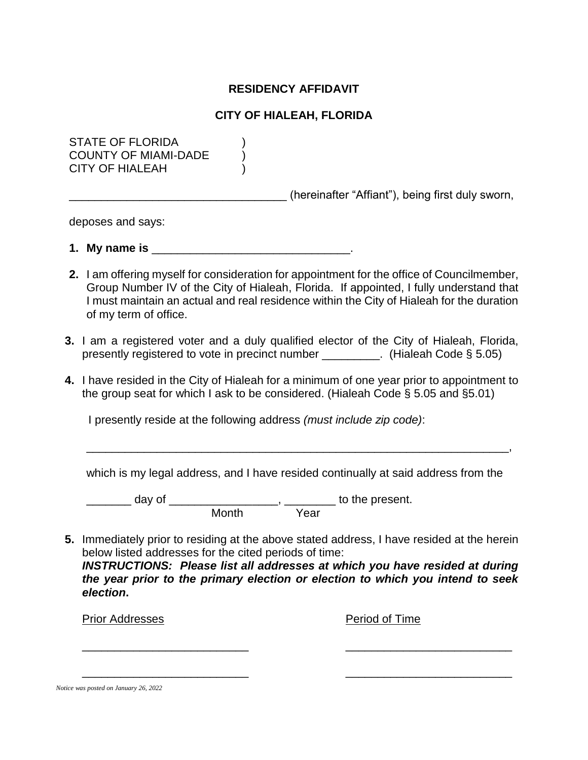#### **RESIDENCY AFFIDAVIT**

#### **CITY OF HIALEAH, FLORIDA**

STATE OF FLORIDA ) COUNTY OF MIAMI-DADE ) CITY OF HIALEAH )

\_\_\_\_\_\_\_\_\_\_\_\_\_\_\_\_\_\_\_\_\_\_\_\_\_\_\_\_\_\_\_\_\_\_ (hereinafter "Affiant"), being first duly sworn,

deposes and says:

- **1.** My name is
- **2.** I am offering myself for consideration for appointment for the office of Councilmember, Group Number IV of the City of Hialeah, Florida. If appointed, I fully understand that I must maintain an actual and real residence within the City of Hialeah for the duration of my term of office.
- **3.** I am a registered voter and a duly qualified elector of the City of Hialeah, Florida, presently registered to vote in precinct number \_ The Collective Code § 5.05)
- **4.** I have resided in the City of Hialeah for a minimum of one year prior to appointment to the group seat for which I ask to be considered. (Hialeah Code § 5.05 and §5.01)

I presently reside at the following address *(must include zip code)*:

which is my legal address, and I have resided continually at said address from the

\_\_\_\_\_\_\_\_\_\_\_\_\_\_\_\_\_\_\_\_\_\_\_\_\_\_\_\_\_\_\_\_\_\_\_\_\_\_\_\_\_\_\_\_\_\_\_\_\_\_\_\_\_\_\_\_\_\_\_\_\_\_\_\_\_\_,

\_\_\_\_\_\_\_\_ day of \_\_\_\_\_\_\_\_\_\_\_\_\_\_\_\_\_\_\_\_, \_\_\_\_\_\_\_\_\_ to the present. Month Year

**5.** Immediately prior to residing at the above stated address, I have resided at the herein below listed addresses for the cited periods of time:

*INSTRUCTIONS: Please list all addresses at which you have resided at during the year prior to the primary election or election to which you intend to seek election***.**

\_\_\_\_\_\_\_\_\_\_\_\_\_\_\_\_\_\_\_\_\_\_\_\_\_\_ \_\_\_\_\_\_\_\_\_\_\_\_\_\_\_\_\_\_\_\_\_\_\_\_\_\_

\_\_\_\_\_\_\_\_\_\_\_\_\_\_\_\_\_\_\_\_\_\_\_\_\_\_ \_\_\_\_\_\_\_\_\_\_\_\_\_\_\_\_\_\_\_\_\_\_\_\_\_\_

Prior Addresses **Prior** Addresses **Period** of Time

*Notice was posted on January 26, 2022*